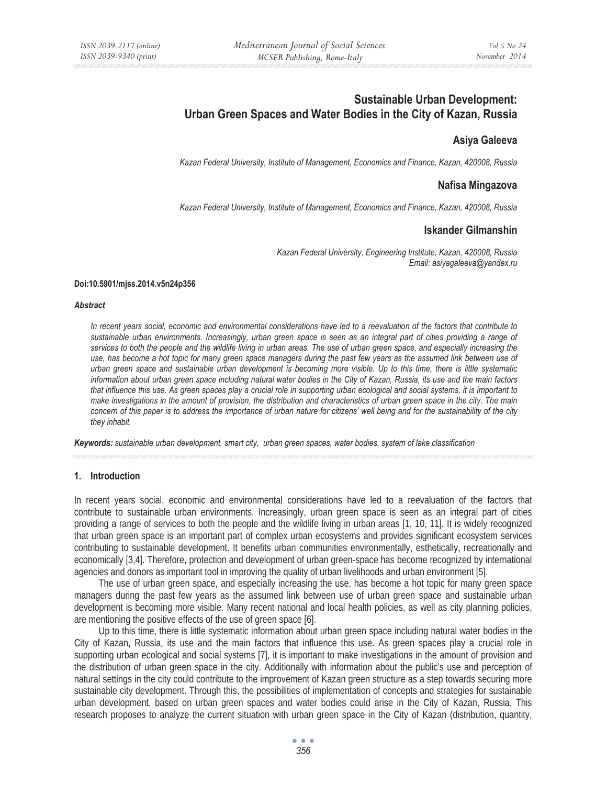# **Sustainable Urban Development: Urban Green Spaces and Water Bodies in the City of Kazan, Russia**

# **Asiya Galeeva**

*Kazan Federal University, Institute of Management, Economics and Finance, Kazan, 420008, Russia* 

## **Nafisa Mingazova**

*Kazan Federal University, Institute of Management, Economics and Finance, Kazan, 420008, Russia* 

### **Iskander Gilmanshin**

*Kazan Federal University, Engineering Institute, Kazan, 420008, Russia Email: asiyagaleeva@yandex.ru* 

#### **Doi:10.5901/mjss.2014.v5n24p356**

#### *Abstract*

*In recent years social, economic and environmental considerations have led to a reevaluation of the factors that contribute to sustainable urban environments. Increasingly, urban green space is seen as an integral part of cities providing a range of services to both the people and the wildlife living in urban areas. The use of urban green space, and especially increasing the use, has become a hot topic for many green space managers during the past few years as the assumed link between use of urban green space and sustainable urban development is becoming more visible. Up to this time, there is little systematic information about urban green space including natural water bodies in the City of Kazan, Russia, its use and the main factors that influence this use. As green spaces play a crucial role in supporting urban ecological and social systems, it is important to make investigations in the amount of provision, the distribution and characteristics of urban green space in the city. The main concern of this paper is to address the importance of urban nature for citizens' well being and for the sustainability of the city they inhabit.* 

*Keywords: sustainable urban development, smart city, urban green spaces, water bodies, system of lake classification*

#### **1. Introduction**

In recent years social, economic and environmental considerations have led to a reevaluation of the factors that contribute to sustainable urban environments. Increasingly, urban green space is seen as an integral part of cities providing a range of services to both the people and the wildlife living in urban areas [1, 10, 11]. It is widely recognized that urban green space is an important part of complex urban ecosystems and provides significant ecosystem services contributing to sustainable development. It benefits urban communities environmentally, esthetically, recreationally and economically [3,4]. Therefore, protection and development of urban green-space has become recognized by international agencies and donors as important tool in improving the quality of urban livelihoods and urban environment [5].

The use of urban green space, and especially increasing the use, has become a hot topic for many green space managers during the past few years as the assumed link between use of urban green space and sustainable urban development is becoming more visible. Many recent national and local health policies, as well as city planning policies, are mentioning the positive effects of the use of green space [6].

Up to this time, there is little systematic information about urban green space including natural water bodies in the City of Kazan, Russia, its use and the main factors that influence this use. As green spaces play a crucial role in supporting urban ecological and social systems [7]*,* it is important to make investigations in the amount of provision and the distribution of urban green space in the city. Additionally with information about the public's use and perception of natural settings in the city could contribute to the improvement of Kazan green structure as a step towards securing more sustainable city development. Through this, the possibilities of implementation of concepts and strategies for sustainable urban development, based on urban green spaces and water bodies could arise in the City of Kazan, Russia. This research proposes to analyze the current situation with urban green space in the City of Kazan (distribution, quantity,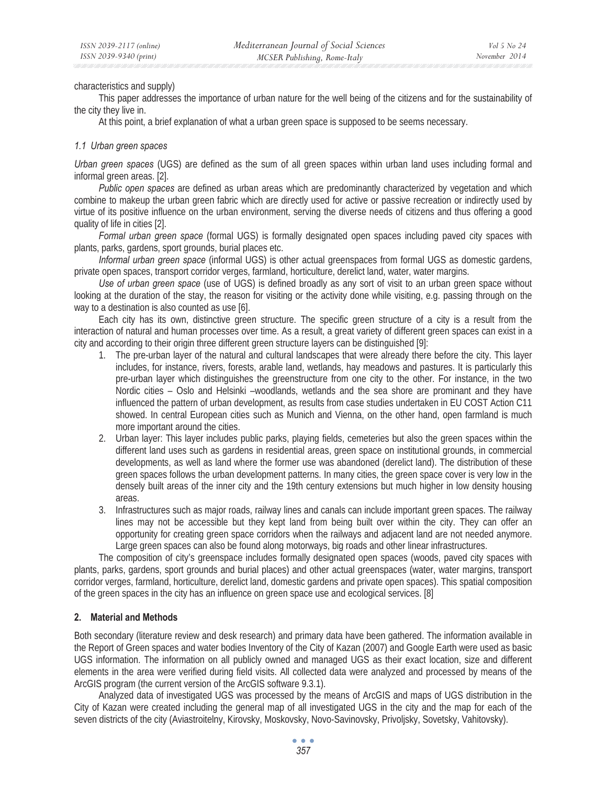characteristics and supply)

This paper addresses the importance of urban nature for the well being of the citizens and for the sustainability of the city they live in.

At this point, a brief explanation of what a urban green space is supposed to be seems necessary.

### *1.1 Urban green spaces*

*Urban green spaces* (UGS) are defined as the sum of all green spaces within urban land uses including formal and informal green areas. [2].

*Public open spaces* are defined as urban areas which are predominantly characterized by vegetation and which combine to makeup the urban green fabric which are directly used for active or passive recreation or indirectly used by virtue of its positive influence on the urban environment, serving the diverse needs of citizens and thus offering a good quality of life in cities [2].

*Formal urban green space* (formal UGS) is formally designated open spaces including paved city spaces with plants, parks, gardens, sport grounds, burial places etc.

*Informal urban green space* (informal UGS) is other actual greenspaces from formal UGS as domestic gardens, private open spaces, transport corridor verges, farmland, horticulture, derelict land, water, water margins.

*Use of urban green space* (use of UGS) is defined broadly as any sort of visit to an urban green space without looking at the duration of the stay, the reason for visiting or the activity done while visiting, e.g. passing through on the way to a destination is also counted as use [6].

Each city has its own, distinctive green structure. The specific green structure of a city is a result from the interaction of natural and human processes over time. As a result, a great variety of different green spaces can exist in a city and according to their origin three different green structure layers can be distinguished [9]:

- 1. The pre-urban layer of the natural and cultural landscapes that were already there before the city. This layer includes, for instance, rivers, forests, arable land, wetlands, hay meadows and pastures. It is particularly this pre-urban layer which distinguishes the greenstructure from one city to the other. For instance, in the two Nordic cities – Oslo and Helsinki –woodlands, wetlands and the sea shore are prominant and they have influenced the pattern of urban development, as results from case studies undertaken in EU COST Action C11 showed. In central European cities such as Munich and Vienna, on the other hand, open farmland is much more important around the cities.
- 2. Urban layer: This layer includes public parks, playing fields, cemeteries but also the green spaces within the different land uses such as gardens in residential areas, green space on institutional grounds, in commercial developments, as well as land where the former use was abandoned (derelict land). The distribution of these green spaces follows the urban development patterns. In many cities, the green space cover is very low in the densely built areas of the inner city and the 19th century extensions but much higher in low density housing areas.
- 3. Infrastructures such as major roads, railway lines and canals can include important green spaces. The railway lines may not be accessible but they kept land from being built over within the city. They can offer an opportunity for creating green space corridors when the railways and adjacent land are not needed anymore. Large green spaces can also be found along motorways, big roads and other linear infrastructures.

The composition of city's greenspace includes formally designated open spaces (woods, paved city spaces with plants, parks, gardens, sport grounds and burial places) and other actual greenspaces (water, water margins, transport corridor verges, farmland, horticulture, derelict land, domestic gardens and private open spaces). This spatial composition of the green spaces in the city has an influence on green space use and ecological services. [8]

# **2. Material and Methods**

Both secondary (literature review and desk research) and primary data have been gathered. The information available in the Report of Green spaces and water bodies Inventory of the City of Kazan (2007) and Google Earth were used as basic UGS information. The information on all publicly owned and managed UGS as their exact location, size and different elements in the area were verified during field visits. All collected data were analyzed and processed by means of the ArcGIS program (the current version of the ArcGIS software 9.3.1).

Analyzed data of investigated UGS was processed by the means of ArcGIS and maps of UGS distribution in the City of Kazan were created including the general map of all investigated UGS in the city and the map for each of the seven districts of the city (Aviastroitelny, Kirovsky, Moskovsky, Novo-Savinovsky, Privoljsky, Sovetsky, Vahitovsky).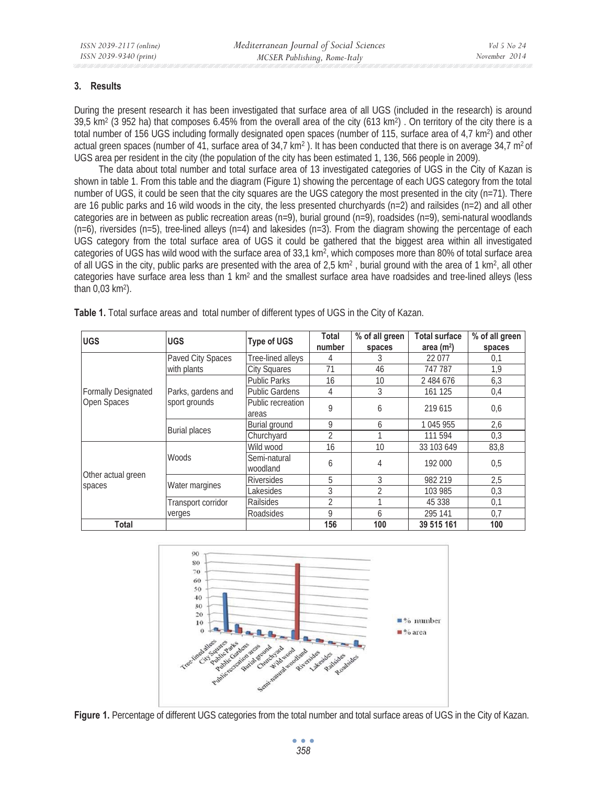# **3. Results**

During the present research it has been investigated that surface area of all UGS (included in the research) is around  $39.5$  km<sup>2</sup> (3 952 ha) that composes 6.45% from the overall area of the city (613 km<sup>2</sup>). On territory of the city there is a total number of 156 UGS including formally designated open spaces (number of 115, surface area of 4,7 km<sup>2</sup>) and other actual green spaces (number of 41, surface area of  $34.7 \text{ km}^2$ ). It has been conducted that there is on average  $34.7 \text{ m}^2$  of UGS area per resident in the city (the population of the city has been estimated 1, 136, 566 people in 2009).

The data about total number and total surface area of 13 investigated categories of UGS in the City of Kazan is shown in table 1. From this table and the diagram (Figure 1) showing the percentage of each UGS category from the total number of UGS, it could be seen that the city squares are the UGS category the most presented in the city (n=71). There are 16 public parks and 16 wild woods in the city, the less presented churchyards  $(n=2)$  and railsides  $(n=2)$  and all other categories are in between as public recreation areas (n=9), burial ground (n=9), roadsides (n=9), semi-natural woodlands  $(n=6)$ , riversides (n=5), tree-lined alleys (n=4) and lakesides (n=3). From the diagram showing the percentage of each UGS category from the total surface area of UGS it could be gathered that the biggest area within all investigated categories of UGS has wild wood with the surface area of 33,1 km2, which composes more than 80% of total surface area of all UGS in the city, public parks are presented with the area of 2,5 km<sup>2</sup>, burial ground with the area of 1 km<sup>2</sup>, all other categories have surface area less than 1 km<sup>2</sup> and the smallest surface area have roadsides and tree-lined alleys (less than 0,03 km2).

| <b>UGS</b>                                | <b>UGS</b>                          | <b>Type of UGS</b>    | Total          | % of all green                                         | <b>Total surface</b> | % of all green |
|-------------------------------------------|-------------------------------------|-----------------------|----------------|--------------------------------------------------------|----------------------|----------------|
|                                           |                                     |                       | number         | spaces<br>3<br>46<br>10<br>3<br>6<br>6<br>и<br>10<br>4 | area $(m2)$          | spaces         |
| <b>Formally Designated</b><br>Open Spaces | Paved City Spaces<br>with plants    | Tree-lined alleys     | 4              |                                                        | 22 077               | 0,1            |
|                                           |                                     | <b>City Squares</b>   | 71             |                                                        | 747 787              | 1,9            |
|                                           | Parks, gardens and<br>sport grounds | <b>Public Parks</b>   | 16             |                                                        | 2 484 676            | 6,3            |
|                                           |                                     | <b>Public Gardens</b> | 4              |                                                        | 161 125              | 0,4            |
|                                           |                                     | Public recreation     | 9              |                                                        | 219 615              | 0,6            |
|                                           |                                     | areas                 |                |                                                        |                      |                |
|                                           | <b>Burial places</b>                | Burial ground         | 9              |                                                        | 1 045 955            | 2,6            |
|                                           |                                     | Churchyard            | $\overline{2}$ |                                                        | 111 594              | 0,3            |
|                                           | Woods                               | Wild wood             | 16             |                                                        | 33 103 649           | 83,8           |
|                                           |                                     | Semi-natural          |                | 6<br>5<br>3                                            | 192 000              | 0,5            |
|                                           |                                     | woodland              |                |                                                        |                      |                |
| Other actual green<br>spaces              | Water margines                      | <b>Riversides</b>     |                |                                                        | 982 219              | 2,5            |
|                                           |                                     | Lakesides             | 3              | $\overline{2}$                                         | 103 985              | 0,3            |
|                                           | Transport corridor<br>verges        | <b>Railsides</b>      | $\overline{2}$ |                                                        | 45 338               | 0,1            |
|                                           |                                     | Roadsides             | 9              | 6                                                      | 295 141              | 0,7            |
| Total                                     |                                     |                       | 156            | 100                                                    | 39 515 161           | 100            |

**Table 1.** Total surface areas and total number of different types of UGS in the City of Kazan.





 $\bullet$   $\bullet$   $\bullet$ *358*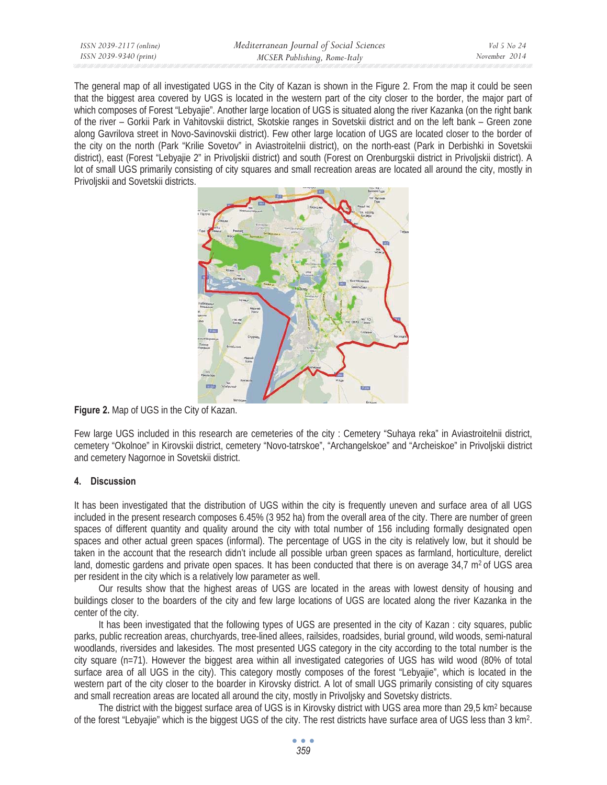| ISSN 2039-2117 (online) | Mediterranean Journal of Social Sciences | Vol 5 No 24   |
|-------------------------|------------------------------------------|---------------|
| ISSN 2039-9340 (print)  | MCSER Publishing, Rome-Italy             | November 2014 |
|                         |                                          |               |

The general map of all investigated UGS in the City of Kazan is shown in the Figure 2. From the map it could be seen that the biggest area covered by UGS is located in the western part of the city closer to the border, the major part of which composes of Forest "Lebyajie". Another large location of UGS is situated along the river Kazanka (on the right bank of the river – Gorkii Park in Vahitovskii district, Skotskie ranges in Sovetskii district and on the left bank – Green zone along Gavrilova street in Novo-Savinovskii district). Few other large location of UGS are located closer to the border of the city on the north (Park "Krilie Sovetov" in Aviastroitelnii district), on the north-east (Park in Derbishki in Sovetskii district), east (Forest "Lebyajie 2" in Privoljskii district) and south (Forest on Orenburgskii district in Privoljskii district). A lot of small UGS primarily consisting of city squares and small recreation areas are located all around the city, mostly in Privoljskii and Sovetskii districts.



**Figure 2.** Map of UGS in the City of Kazan.

Few large UGS included in this research are cemeteries of the city : Cemetery "Suhaya reka" in Aviastroitelnii district, cemetery "Okolnoe" in Kirovskii district, cemetery "Novo-tatrskoe", "Archangelskoe" and "Archeiskoe" in Privoljskii district and cemetery Nagornoe in Sovetskii district.

# **4. Discussion**

It has been investigated that the distribution of UGS within the city is frequently uneven and surface area of all UGS included in the present research composes 6.45% (3 952 ha) from the overall area of the city. There are number of green spaces of different quantity and quality around the city with total number of 156 including formally designated open spaces and other actual green spaces (informal). The percentage of UGS in the city is relatively low, but it should be taken in the account that the research didn't include all possible urban green spaces as farmland, horticulture, derelict land, domestic gardens and private open spaces. It has been conducted that there is on average  $34.7 \text{ m}^2$  of UGS area per resident in the city which is a relatively low parameter as well.

Our results show that the highest areas of UGS are located in the areas with lowest density of housing and buildings closer to the boarders of the city and few large locations of UGS are located along the river Kazanka in the center of the city.

It has been investigated that the following types of UGS are presented in the city of Kazan : city squares, public parks, public recreation areas, churchyards, tree-lined allees, railsides, roadsides, burial ground, wild woods, semi-natural woodlands, riversides and lakesides. The most presented UGS category in the city according to the total number is the city square (n=71). However the biggest area within all investigated categories of UGS has wild wood (80% of total surface area of all UGS in the city). This category mostly composes of the forest "Lebyajie", which is located in the western part of the city closer to the boarder in Kirovsky district. A lot of small UGS primarily consisting of city squares and small recreation areas are located all around the city, mostly in Privoljsky and Sovetsky districts.

The district with the biggest surface area of UGS is in Kirovsky district with UGS area more than 29,5 km<sup>2</sup> because of the forest "Lebyajie" which is the biggest UGS of the city. The rest districts have surface area of UGS less than 3 km2.